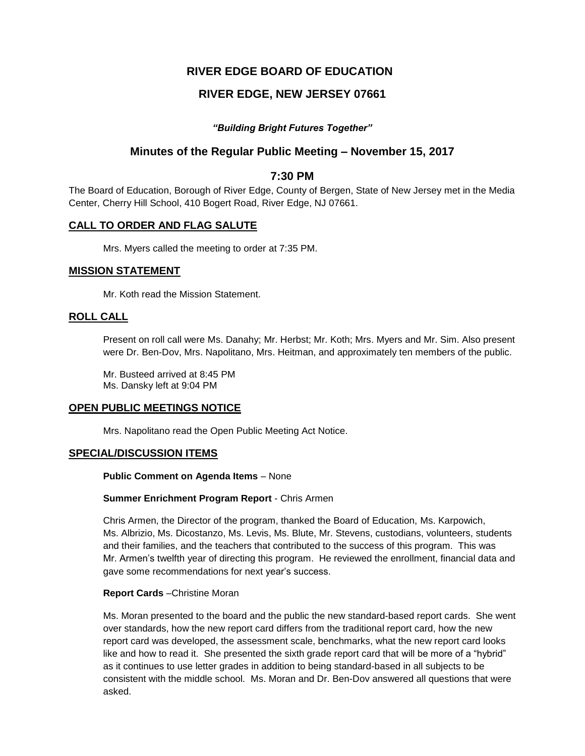# **RIVER EDGE BOARD OF EDUCATION**

# **RIVER EDGE, NEW JERSEY 07661**

## *"Building Bright Futures Together"*

# **Minutes of the Regular Public Meeting – November 15, 2017**

## **7:30 PM**

The Board of Education, Borough of River Edge, County of Bergen, State of New Jersey met in the Media Center, Cherry Hill School, 410 Bogert Road, River Edge, NJ 07661.

## **CALL TO ORDER AND FLAG SALUTE**

Mrs. Myers called the meeting to order at 7:35 PM.

## **MISSION STATEMENT**

Mr. Koth read the Mission Statement.

## **ROLL CALL**

Present on roll call were Ms. Danahy; Mr. Herbst; Mr. Koth; Mrs. Myers and Mr. Sim. Also present were Dr. Ben-Dov, Mrs. Napolitano, Mrs. Heitman, and approximately ten members of the public.

Mr. Busteed arrived at 8:45 PM Ms. Dansky left at 9:04 PM

## **OPEN PUBLIC MEETINGS NOTICE**

Mrs. Napolitano read the Open Public Meeting Act Notice.

## **SPECIAL/DISCUSSION ITEMS**

#### **Public Comment on Agenda Items** – None

#### **Summer Enrichment Program Report** - Chris Armen

Chris Armen, the Director of the program, thanked the Board of Education, Ms. Karpowich, Ms. Albrizio, Ms. Dicostanzo, Ms. Levis, Ms. Blute, Mr. Stevens, custodians, volunteers, students and their families, and the teachers that contributed to the success of this program. This was Mr. Armen's twelfth year of directing this program. He reviewed the enrollment, financial data and gave some recommendations for next year's success.

#### **Report Cards** –Christine Moran

Ms. Moran presented to the board and the public the new standard-based report cards. She went over standards, how the new report card differs from the traditional report card, how the new report card was developed, the assessment scale, benchmarks, what the new report card looks like and how to read it. She presented the sixth grade report card that will be more of a "hybrid" as it continues to use letter grades in addition to being standard-based in all subjects to be consistent with the middle school. Ms. Moran and Dr. Ben-Dov answered all questions that were asked.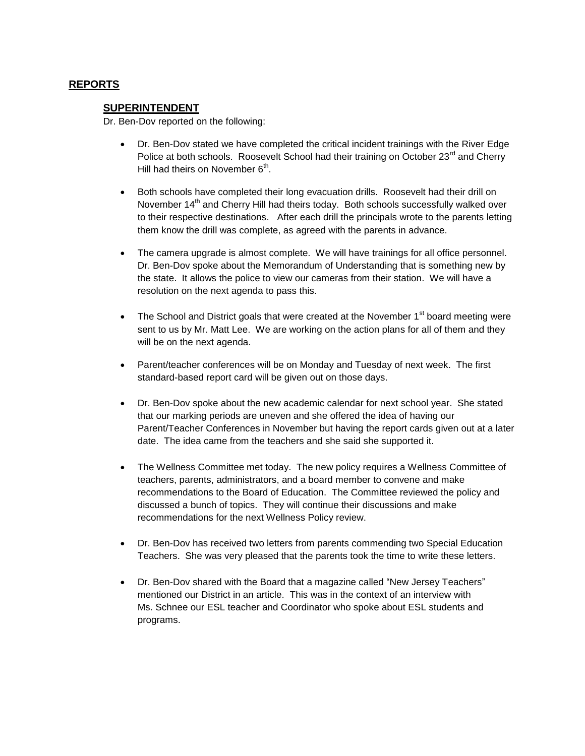## **REPORTS**

## **SUPERINTENDENT**

Dr. Ben-Dov reported on the following:

- Dr. Ben-Dov stated we have completed the critical incident trainings with the River Edge Police at both schools. Roosevelt School had their training on October 23<sup>rd</sup> and Cherry Hill had theirs on November  $6^{\text{th}}$ .
- Both schools have completed their long evacuation drills. Roosevelt had their drill on November 14<sup>th</sup> and Cherry Hill had theirs today. Both schools successfully walked over to their respective destinations. After each drill the principals wrote to the parents letting them know the drill was complete, as agreed with the parents in advance.
- The camera upgrade is almost complete. We will have trainings for all office personnel. Dr. Ben-Dov spoke about the Memorandum of Understanding that is something new by the state. It allows the police to view our cameras from their station. We will have a resolution on the next agenda to pass this.
- $\bullet$  The School and District goals that were created at the November 1 $^{\text{st}}$  board meeting were sent to us by Mr. Matt Lee. We are working on the action plans for all of them and they will be on the next agenda.
- Parent/teacher conferences will be on Monday and Tuesday of next week. The first standard-based report card will be given out on those days.
- Dr. Ben-Dov spoke about the new academic calendar for next school year. She stated that our marking periods are uneven and she offered the idea of having our Parent/Teacher Conferences in November but having the report cards given out at a later date. The idea came from the teachers and she said she supported it.
- The Wellness Committee met today. The new policy requires a Wellness Committee of teachers, parents, administrators, and a board member to convene and make recommendations to the Board of Education. The Committee reviewed the policy and discussed a bunch of topics. They will continue their discussions and make recommendations for the next Wellness Policy review.
- Dr. Ben-Dov has received two letters from parents commending two Special Education Teachers. She was very pleased that the parents took the time to write these letters.
- Dr. Ben-Dov shared with the Board that a magazine called "New Jersey Teachers" mentioned our District in an article. This was in the context of an interview with Ms. Schnee our ESL teacher and Coordinator who spoke about ESL students and programs.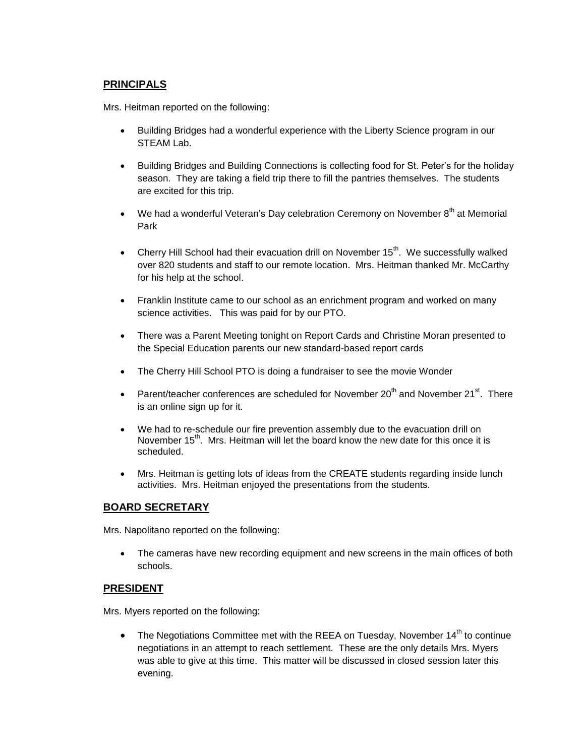## **PRINCIPALS**

Mrs. Heitman reported on the following:

- Building Bridges had a wonderful experience with the Liberty Science program in our STEAM Lab.
- Building Bridges and Building Connections is collecting food for St. Peter's for the holiday season. They are taking a field trip there to fill the pantries themselves. The students are excited for this trip.
- $\bullet$  We had a wonderful Veteran's Day celebration Ceremony on November  $8<sup>th</sup>$  at Memorial Park
- Cherry Hill School had their evacuation drill on November  $15<sup>th</sup>$ . We successfully walked over 820 students and staff to our remote location. Mrs. Heitman thanked Mr. McCarthy for his help at the school.
- Franklin Institute came to our school as an enrichment program and worked on many science activities. This was paid for by our PTO.
- There was a Parent Meeting tonight on Report Cards and Christine Moran presented to the Special Education parents our new standard-based report cards
- The Cherry Hill School PTO is doing a fundraiser to see the movie Wonder
- **Parent/teacher conferences are scheduled for November 20<sup>th</sup> and November 21<sup>st</sup>. There** is an online sign up for it.
- We had to re-schedule our fire prevention assembly due to the evacuation drill on November  $15<sup>th</sup>$ . Mrs. Heitman will let the board know the new date for this once it is scheduled.
- Mrs. Heitman is getting lots of ideas from the CREATE students regarding inside lunch activities. Mrs. Heitman enjoyed the presentations from the students.

## **BOARD SECRETARY**

Mrs. Napolitano reported on the following:

 The cameras have new recording equipment and new screens in the main offices of both schools.

## **PRESIDENT**

Mrs. Myers reported on the following:

 $\bullet$  The Negotiations Committee met with the REEA on Tuesday, November 14<sup>th</sup> to continue negotiations in an attempt to reach settlement. These are the only details Mrs. Myers was able to give at this time. This matter will be discussed in closed session later this evening.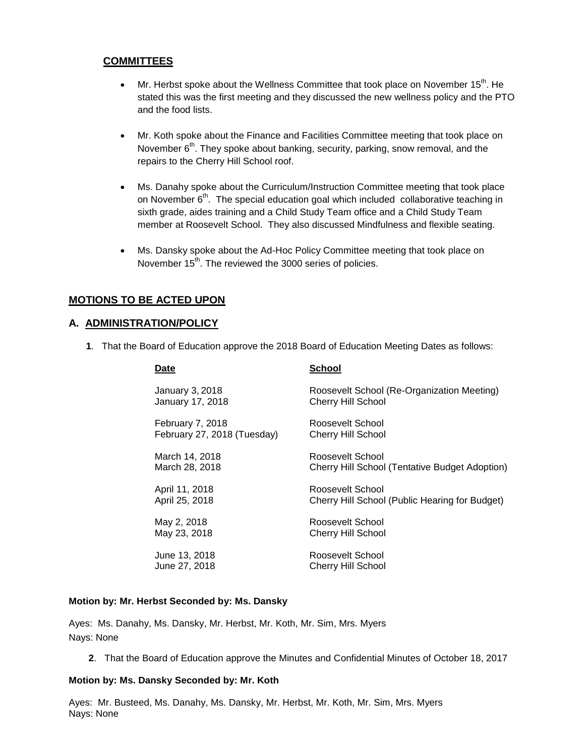## **COMMITTEES**

- Mr. Herbst spoke about the Wellness Committee that took place on November 15<sup>th</sup>. He stated this was the first meeting and they discussed the new wellness policy and the PTO and the food lists.
- Mr. Koth spoke about the Finance and Facilities Committee meeting that took place on November 6<sup>th</sup>. They spoke about banking, security, parking, snow removal, and the repairs to the Cherry Hill School roof.
- Ms. Danahy spoke about the Curriculum/Instruction Committee meeting that took place on November  $6<sup>th</sup>$ . The special education goal which included collaborative teaching in sixth grade, aides training and a Child Study Team office and a Child Study Team member at Roosevelt School. They also discussed Mindfulness and flexible seating.
- Ms. Dansky spoke about the Ad-Hoc Policy Committee meeting that took place on November 15<sup>th</sup>. The reviewed the 3000 series of policies.

## **MOTIONS TO BE ACTED UPON**

## **A. ADMINISTRATION/POLICY**

**1**. That the Board of Education approve the 2018 Board of Education Meeting Dates as follows:

**Date School**

| puw                         | <b>0011001</b>                                        |
|-----------------------------|-------------------------------------------------------|
| January 3, 2018             | Roosevelt School (Re-Organization Meeting)            |
| January 17, 2018            | <b>Cherry Hill School</b>                             |
| February 7, 2018            | Roosevelt School                                      |
| February 27, 2018 (Tuesday) | <b>Cherry Hill School</b>                             |
| March 14, 2018              | Roosevelt School                                      |
| March 28, 2018              | <b>Cherry Hill School (Tentative Budget Adoption)</b> |
| April 11, 2018              | Roosevelt School                                      |
| April 25, 2018              | Cherry Hill School (Public Hearing for Budget)        |
| May 2, 2018                 | Roosevelt School                                      |
| May 23, 2018                | Cherry Hill School                                    |
| June 13, 2018               | Roosevelt School                                      |
| June 27, 2018               | Cherry Hill School                                    |

#### **Motion by: Mr. Herbst Seconded by: Ms. Dansky**

Ayes: Ms. Danahy, Ms. Dansky, Mr. Herbst, Mr. Koth, Mr. Sim, Mrs. Myers Nays: None

**2**. That the Board of Education approve the Minutes and Confidential Minutes of October 18, 2017

#### **Motion by: Ms. Dansky Seconded by: Mr. Koth**

Ayes: Mr. Busteed, Ms. Danahy, Ms. Dansky, Mr. Herbst, Mr. Koth, Mr. Sim, Mrs. Myers Nays: None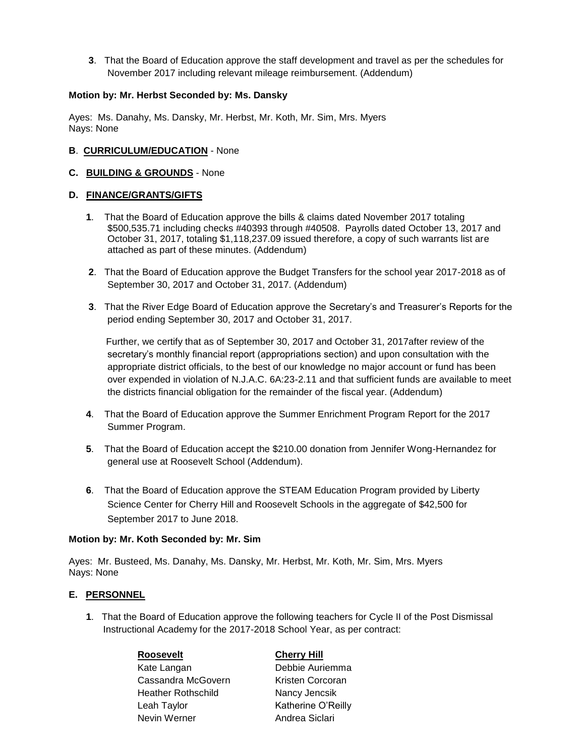**3**. That the Board of Education approve the staff development and travel as per the schedules for November 2017 including relevant mileage reimbursement. (Addendum)

### **Motion by: Mr. Herbst Seconded by: Ms. Dansky**

Ayes: Ms. Danahy, Ms. Dansky, Mr. Herbst, Mr. Koth, Mr. Sim, Mrs. Myers Nays: None

### **B**. **CURRICULUM/EDUCATION** - None

#### **C. BUILDING & GROUNDS** - None

#### **D. FINANCE/GRANTS/GIFTS**

- **1**. That the Board of Education approve the bills & claims dated November 2017 totaling \$500,535.71 including checks #40393 through #40508. Payrolls dated October 13, 2017 and October 31, 2017, totaling \$1,118,237.09 issued therefore, a copy of such warrants list are attached as part of these minutes. (Addendum)
- **2**. That the Board of Education approve the Budget Transfers for the school year 2017-2018 as of September 30, 2017 and October 31, 2017. (Addendum)
- **3**. That the River Edge Board of Education approve the Secretary's and Treasurer's Reports for the period ending September 30, 2017 and October 31, 2017.

 Further, we certify that as of September 30, 2017 and October 31, 2017after review of the secretary's monthly financial report (appropriations section) and upon consultation with the appropriate district officials, to the best of our knowledge no major account or fund has been over expended in violation of N.J.A.C. 6A:23-2.11 and that sufficient funds are available to meet the districts financial obligation for the remainder of the fiscal year. (Addendum)

- **4**. That the Board of Education approve the Summer Enrichment Program Report for the 2017 Summer Program.
- **5**. That the Board of Education accept the \$210.00 donation from Jennifer Wong-Hernandez for general use at Roosevelt School (Addendum).
- **6**. That the Board of Education approve the STEAM Education Program provided by Liberty Science Center for Cherry Hill and Roosevelt Schools in the aggregate of \$42,500 for September 2017 to June 2018.

#### **Motion by: Mr. Koth Seconded by: Mr. Sim**

Ayes: Mr. Busteed, Ms. Danahy, Ms. Dansky, Mr. Herbst, Mr. Koth, Mr. Sim, Mrs. Myers Nays: None

## **E. PERSONNEL**

**1**. That the Board of Education approve the following teachers for Cycle II of the Post Dismissal Instructional Academy for the 2017-2018 School Year, as per contract:

#### **Roosevelt Cherry Hill**

Kate Langan Debbie Auriemma Cassandra McGovern Kristen Corcoran Heather Rothschild Nancy Jencsik Leah Taylor **Katherine O'Reilly** Nevin Werner **Andrea Siclari**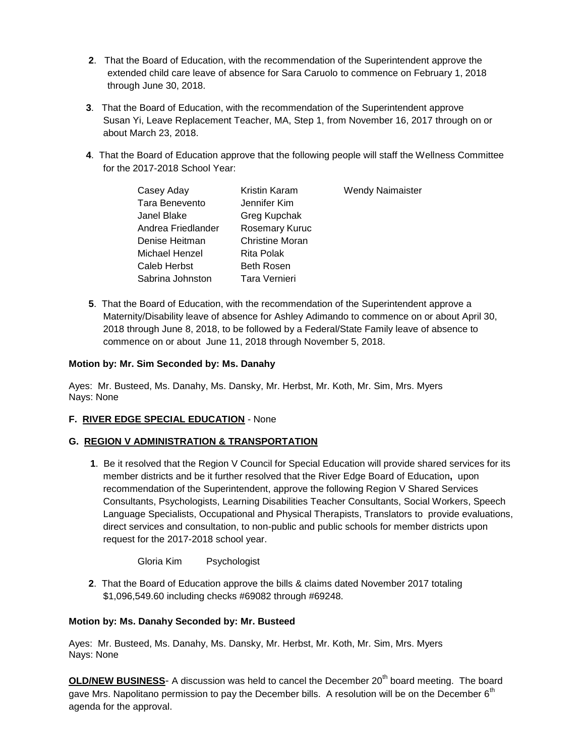- **2**. That the Board of Education, with the recommendation of the Superintendent approve the extended child care leave of absence for Sara Caruolo to commence on February 1, 2018 through June 30, 2018.
- **3**. That the Board of Education, with the recommendation of the Superintendent approve Susan Yi, Leave Replacement Teacher, MA, Step 1, from November 16, 2017 through on or about March 23, 2018.
- **4**. That the Board of Education approve that the following people will staff the Wellness Committee for the 2017-2018 School Year:

| Casey Aday         | Kristin Karam          | <b>Wendy Naimaister</b> |
|--------------------|------------------------|-------------------------|
| Tara Benevento     | Jennifer Kim           |                         |
| Janel Blake        | Greg Kupchak           |                         |
| Andrea Friedlander | Rosemary Kuruc         |                         |
| Denise Heitman     | <b>Christine Moran</b> |                         |
| Michael Henzel     | Rita Polak             |                         |
| Caleb Herbst       | <b>Beth Rosen</b>      |                         |
| Sabrina Johnston   | Tara Vernieri          |                         |

**5**. That the Board of Education, with the recommendation of the Superintendent approve a Maternity/Disability leave of absence for Ashley Adimando to commence on or about April 30, 2018 through June 8, 2018, to be followed by a Federal/State Family leave of absence to commence on or about June 11, 2018 through November 5, 2018.

#### **Motion by: Mr. Sim Seconded by: Ms. Danahy**

Ayes: Mr. Busteed, Ms. Danahy, Ms. Dansky, Mr. Herbst, Mr. Koth, Mr. Sim, Mrs. Myers Nays: None

## **F. RIVER EDGE SPECIAL EDUCATION** - None

## **G. REGION V ADMINISTRATION & TRANSPORTATION**

**1**. Be it resolved that the Region V Council for Special Education will provide shared services for its member districts and be it further resolved that the River Edge Board of Education**,** upon recommendation of the Superintendent, approve the following Region V Shared Services Consultants, Psychologists, Learning Disabilities Teacher Consultants, Social Workers, Speech Language Specialists, Occupational and Physical Therapists, Translators to provide evaluations, direct services and consultation, to non-public and public schools for member districts upon request for the 2017-2018 school year.

Gloria Kim Psychologist

**2**. That the Board of Education approve the bills & claims dated November 2017 totaling \$1,096,549.60 including checks #69082 through #69248.

## **Motion by: Ms. Danahy Seconded by: Mr. Busteed**

Ayes: Mr. Busteed, Ms. Danahy, Ms. Dansky, Mr. Herbst, Mr. Koth, Mr. Sim, Mrs. Myers Nays: None

**OLD/NEW BUSINESS-** A discussion was held to cancel the December 20<sup>th</sup> board meeting. The board gave Mrs. Napolitano permission to pay the December bills. A resolution will be on the December 6<sup>th</sup> agenda for the approval.